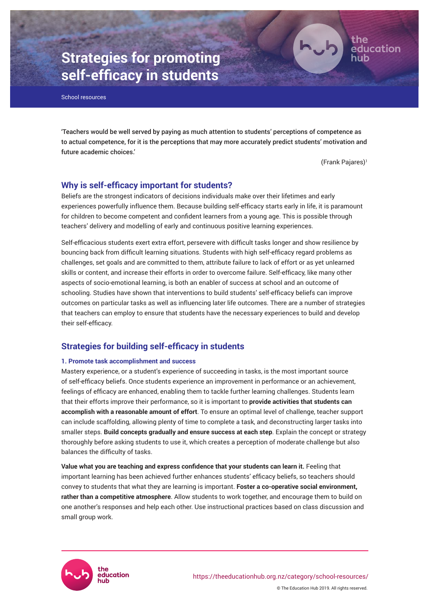

# **Strategies for promoting self-efficacy in students**

School resources

'Teachers would be well served by paying as much attention to students' perceptions of competence as to actual competence, for it is the perceptions that may more accurately predict students' motivation and future academic choices.'

(Frank Pajares)<sup>1</sup>

# **Why is self-efficacy important for students?**

Beliefs are the strongest indicators of decisions individuals make over their lifetimes and early experiences powerfully influence them. Because building self-efficacy starts early in life, it is paramount for children to become competent and confident learners from a young age. This is possible through teachers' delivery and modelling of early and continuous positive learning experiences.

Self-efficacious students exert extra effort, persevere with difficult tasks longer and show resilience by bouncing back from difficult learning situations. Students with high self-efficacy regard problems as challenges, set goals and are committed to them, attribute failure to lack of effort or as yet unlearned skills or content, and increase their efforts in order to overcome failure. Self-efficacy, like many other aspects of socio-emotional learning, is both an enabler of success at school and an outcome of schooling. Studies have shown that interventions to build students' self-efficacy beliefs can improve outcomes on particular tasks as well as influencing later life outcomes. There are a number of strategies that teachers can employ to ensure that students have the necessary experiences to build and develop their self-efficacy.

# **Strategies for building self-efficacy in students**

#### **1. Promote task accomplishment and success**

Mastery experience, or a student's experience of succeeding in tasks, is the most important source of self-efficacy beliefs. Once students experience an improvement in performance or an achievement, feelings of efficacy are enhanced, enabling them to tackle further learning challenges. Students learn that their efforts improve their performance, so it is important to **provide activities that students can accomplish with a reasonable amount of effort**. To ensure an optimal level of challenge, teacher support can include scaffolding, allowing plenty of time to complete a task, and deconstructing larger tasks into smaller steps. **Build concepts gradually and ensure success at each step**. Explain the concept or strategy thoroughly before asking students to use it, which creates a perception of moderate challenge but also balances the difficulty of tasks.

Value what you are teaching and express confidence that your students can learn it. Feeling that important learning has been achieved further enhances students' efficacy beliefs, so teachers should convey to students that what they are learning is important. **Foster a co-operative social environment, rather than a competitive atmosphere**. Allow students to work together, and encourage them to build on one another's responses and help each other. Use instructional practices based on class discussion and small group work.

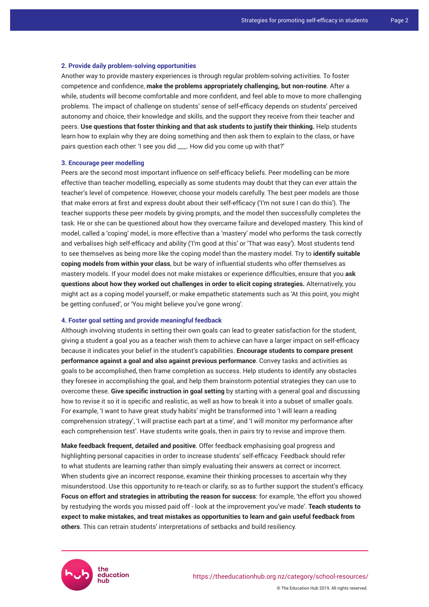#### **2. Provide daily problem-solving opportunities**

Another way to provide mastery experiences is through regular problem-solving activities. To foster competence and confidence, **make the problems appropriately challenging, but non-routine**. After a while, students will become comfortable and more confident, and feel able to move to more challenging problems. The impact of challenge on students' sense of self-efficacy depends on students' perceived autonomy and choice, their knowledge and skills, and the support they receive from their teacher and peers. **Use questions that foster thinking and that ask students to justify their thinking.** Help students learn how to explain why they are doing something and then ask them to explain to the class, or have pairs question each other: 'I see you did \_\_\_. How did you come up with that?'

#### **3. Encourage peer modelling**

Peers are the second most important influence on self-efficacy beliefs. Peer modelling can be more effective than teacher modelling, especially as some students may doubt that they can ever attain the teacher's level of competence. However, choose your models carefully. The best peer models are those that make errors at first and express doubt about their self-efficacy ('I'm not sure I can do this'). The teacher supports these peer models by giving prompts, and the model then successfully completes the task. He or she can be questioned about how they overcame failure and developed mastery. This kind of model, called a 'coping' model, is more effective than a 'mastery' model who performs the task correctly and verbalises high self-efficacy and ability ('I'm good at this' or 'That was easy'). Most students tend to see themselves as being more like the coping model than the mastery model. Try to **identify suitable coping models from within your class**, but be wary of influential students who offer themselves as mastery models. If your model does not make mistakes or experience difficulties, ensure that you **ask questions about how they worked out challenges in order to elicit coping strategies.** Alternatively, you might act as a coping model yourself, or make empathetic statements such as 'At this point, you might be getting confused', or 'You might believe you've gone wrong'.

#### **4. Foster goal setting and provide meaningful feedback**

Although involving students in setting their own goals can lead to greater satisfaction for the student, giving a student a goal you as a teacher wish them to achieve can have a larger impact on self-efficacy because it indicates your belief in the student's capabilities. **Encourage students to compare present performance against a goal and also against previous performance**. Convey tasks and activities as goals to be accomplished, then frame completion as success. Help students to identify any obstacles they foresee in accomplishing the goal, and help them brainstorm potential strategies they can use to overcome these. **Give specific instruction in goal setting** by starting with a general goal and discussing how to revise it so it is specific and realistic, as well as how to break it into a subset of smaller goals. For example, 'I want to have great study habits' might be transformed into 'I will learn a reading comprehension strategy', 'I will practise each part at a time', and 'I will monitor my performance after each comprehension test'. Have students write goals, then in pairs try to revise and improve them.

**Make feedback frequent, detailed and positive**. Offer feedback emphasising goal progress and highlighting personal capacities in order to increase students' self-efficacy. Feedback should refer to what students are learning rather than simply evaluating their answers as correct or incorrect. When students give an incorrect response, examine their thinking processes to ascertain why they misunderstood. Use this opportunity to re-teach or clarify, so as to further support the student's efficacy. **Focus on effort and strategies in attributing the reason for success**: for example, 'the effort you showed by restudying the words you missed paid off - look at the improvement you've made'. **Teach students to expect to make mistakes, and treat mistakes as opportunities to learn and gain useful feedback from others**. This can retrain students' interpretations of setbacks and build resiliency.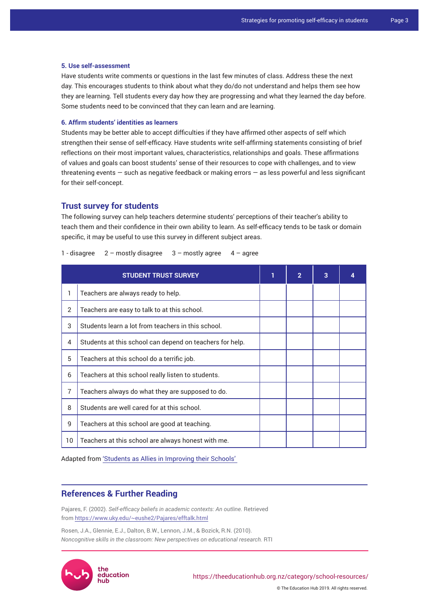#### **5. Use self-assessment**

Have students write comments or questions in the last few minutes of class. Address these the next day. This encourages students to think about what they do/do not understand and helps them see how they are learning. Tell students every day how they are progressing and what they learned the day before. Some students need to be convinced that they can learn and are learning.

### **6. Affirm students' identities as learners**

Students may be better able to accept difficulties if they have affirmed other aspects of self which strengthen their sense of self-efficacy. Have students write self-affirming statements consisting of brief reflections on their most important values, characteristics, relationships and goals. These affirmations of values and goals can boost students' sense of their resources to cope with challenges, and to view threatening events — such as negative feedback or making errors — as less powerful and less significant for their self-concept.

## **Trust survey for students**

The following survey can help teachers determine students' perceptions of their teacher's ability to teach them and their confidence in their own ability to learn. As self-efficacy tends to be task or domain specific, it may be useful to use this survey in different subject areas.

1 - disagree  $2 -$  mostly disagree  $3 -$  mostly agree  $4 -$  agree

| <b>STUDENT TRUST SURVEY</b> |                                                          | $\mathbf{2}$ | 3 |  |
|-----------------------------|----------------------------------------------------------|--------------|---|--|
| 1                           | Teachers are always ready to help.                       |              |   |  |
| 2                           | Teachers are easy to talk to at this school.             |              |   |  |
| 3                           | Students learn a lot from teachers in this school.       |              |   |  |
| 4                           | Students at this school can depend on teachers for help. |              |   |  |
| 5                           | Teachers at this school do a terrific job.               |              |   |  |
| 6                           | Teachers at this school really listen to students.       |              |   |  |
| $\overline{7}$              | Teachers always do what they are supposed to do.         |              |   |  |
| 8                           | Students are well cared for at this school.              |              |   |  |
| 9                           | Teachers at this school are good at teaching.            |              |   |  |
| 10                          | Teachers at this school are always honest with me.       |              |   |  |

Adapted from ['Students as Allies in Improving their Schools'](https://images.template.net/wp-content/uploads/2016/08/02050510/Student-Survey-Report-Template.pdf)

# **References & Further Reading**

Pajares, F. (2002). *Self-efficacy beliefs in academic contexts: An outline. Retrieved* from <https://www.uky.edu/~eushe2/Pajares/efftalk.html>

Rosen, J.A., Glennie, E.J., Dalton, B.W., Lennon, J.M., & Bozick, R.N. (2010). *Noncognitive skills in the classroom: New perspectives on educational research.* RTI